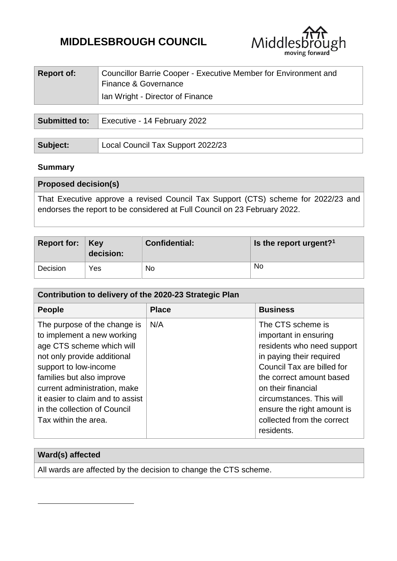# **MIDDLESBROUGH COUNCIL**



| <b>Report of:</b>    | Councillor Barrie Cooper - Executive Member for Environment and<br>Finance & Governance<br>Ian Wright - Director of Finance |
|----------------------|-----------------------------------------------------------------------------------------------------------------------------|
|                      |                                                                                                                             |
| <b>Submitted to:</b> | Executive - 14 February 2022                                                                                                |

| Subject: | Local Council Tax Support 2022/23 |
|----------|-----------------------------------|

# **Summary**

1

| <b>Proposed decision(s)</b>                                                                                                                                    |
|----------------------------------------------------------------------------------------------------------------------------------------------------------------|
| That Executive approve a revised Council Tax Support (CTS) scheme for 2022/23 and<br>endorses the report to be considered at Full Council on 23 February 2022. |
|                                                                                                                                                                |

| Report for: $\vert$ Key | decision: | <b>Confidential:</b> | Is the report urgent? <sup>1</sup> |
|-------------------------|-----------|----------------------|------------------------------------|
| Decision                | Yes       | No                   | No                                 |

| Contribution to delivery of the 2020-23 Strategic Plan                                                                                                                                                                                                                                                   |              |                                                                                                                                                                                                                                                                                            |  |  |
|----------------------------------------------------------------------------------------------------------------------------------------------------------------------------------------------------------------------------------------------------------------------------------------------------------|--------------|--------------------------------------------------------------------------------------------------------------------------------------------------------------------------------------------------------------------------------------------------------------------------------------------|--|--|
| <b>People</b>                                                                                                                                                                                                                                                                                            | <b>Place</b> | <b>Business</b>                                                                                                                                                                                                                                                                            |  |  |
| The purpose of the change is<br>to implement a new working<br>age CTS scheme which will<br>not only provide additional<br>support to low-income<br>families but also improve<br>current administration, make<br>it easier to claim and to assist<br>in the collection of Council<br>Tax within the area. | N/A          | The CTS scheme is<br>important in ensuring<br>residents who need support<br>in paying their required<br>Council Tax are billed for<br>the correct amount based<br>on their financial<br>circumstances. This will<br>ensure the right amount is<br>collected from the correct<br>residents. |  |  |

| Ward(s) affected                                                 |
|------------------------------------------------------------------|
| All wards are affected by the decision to change the CTS scheme. |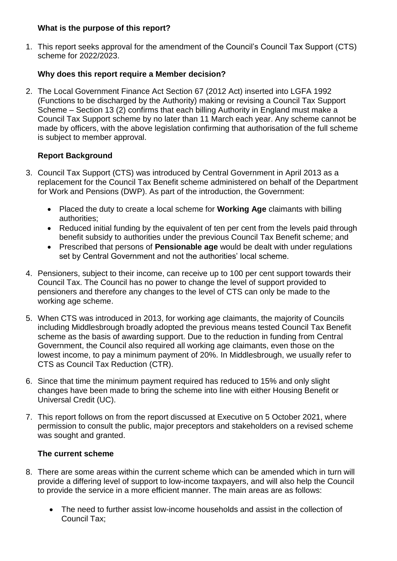### **What is the purpose of this report?**

1. This report seeks approval for the amendment of the Council's Council Tax Support (CTS) scheme for 2022/2023.

# **Why does this report require a Member decision?**

2. The Local Government Finance Act Section 67 (2012 Act) inserted into LGFA 1992 (Functions to be discharged by the Authority) making or revising a Council Tax Support Scheme – Section 13 (2) confirms that each billing Authority in England must make a Council Tax Support scheme by no later than 11 March each year. Any scheme cannot be made by officers, with the above legislation confirming that authorisation of the full scheme is subject to member approval.

# **Report Background**

- 3. Council Tax Support (CTS) was introduced by Central Government in April 2013 as a replacement for the Council Tax Benefit scheme administered on behalf of the Department for Work and Pensions (DWP). As part of the introduction, the Government:
	- Placed the duty to create a local scheme for **Working Age** claimants with billing authorities;
	- Reduced initial funding by the equivalent of ten per cent from the levels paid through benefit subsidy to authorities under the previous Council Tax Benefit scheme; and
	- Prescribed that persons of **Pensionable age** would be dealt with under regulations set by Central Government and not the authorities' local scheme.
- 4. Pensioners, subject to their income, can receive up to 100 per cent support towards their Council Tax. The Council has no power to change the level of support provided to pensioners and therefore any changes to the level of CTS can only be made to the working age scheme.
- 5. When CTS was introduced in 2013, for working age claimants, the majority of Councils including Middlesbrough broadly adopted the previous means tested Council Tax Benefit scheme as the basis of awarding support. Due to the reduction in funding from Central Government, the Council also required all working age claimants, even those on the lowest income, to pay a minimum payment of 20%. In Middlesbrough, we usually refer to CTS as Council Tax Reduction (CTR).
- 6. Since that time the minimum payment required has reduced to 15% and only slight changes have been made to bring the scheme into line with either Housing Benefit or Universal Credit (UC).
- 7. This report follows on from the report discussed at Executive on 5 October 2021, where permission to consult the public, major preceptors and stakeholders on a revised scheme was sought and granted.

# **The current scheme**

- 8. There are some areas within the current scheme which can be amended which in turn will provide a differing level of support to low-income taxpayers, and will also help the Council to provide the service in a more efficient manner. The main areas are as follows:
	- The need to further assist low-income households and assist in the collection of Council Tax;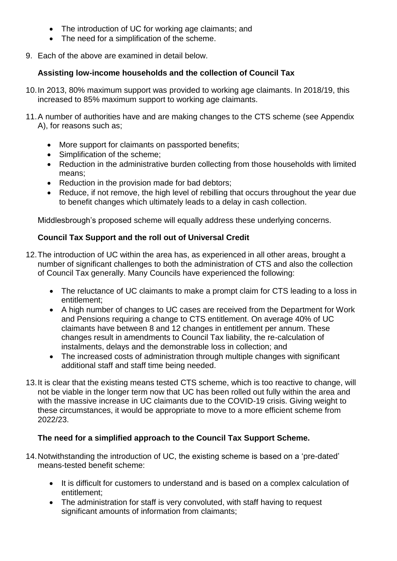- The introduction of UC for working age claimants; and
- The need for a simplification of the scheme.
- 9. Each of the above are examined in detail below.

# **Assisting low-income households and the collection of Council Tax**

- 10.In 2013, 80% maximum support was provided to working age claimants. In 2018/19, this increased to 85% maximum support to working age claimants.
- 11.A number of authorities have and are making changes to the CTS scheme (see Appendix A), for reasons such as;
	- More support for claimants on passported benefits;
	- Simplification of the scheme;
	- Reduction in the administrative burden collecting from those households with limited means;
	- Reduction in the provision made for bad debtors;
	- Reduce, if not remove, the high level of rebilling that occurs throughout the year due to benefit changes which ultimately leads to a delay in cash collection.

Middlesbrough's proposed scheme will equally address these underlying concerns.

# **Council Tax Support and the roll out of Universal Credit**

- 12.The introduction of UC within the area has, as experienced in all other areas, brought a number of significant challenges to both the administration of CTS and also the collection of Council Tax generally. Many Councils have experienced the following:
	- The reluctance of UC claimants to make a prompt claim for CTS leading to a loss in entitlement;
	- A high number of changes to UC cases are received from the Department for Work and Pensions requiring a change to CTS entitlement. On average 40% of UC claimants have between 8 and 12 changes in entitlement per annum. These changes result in amendments to Council Tax liability, the re-calculation of instalments, delays and the demonstrable loss in collection; and
	- The increased costs of administration through multiple changes with significant additional staff and staff time being needed.
- 13.It is clear that the existing means tested CTS scheme, which is too reactive to change, will not be viable in the longer term now that UC has been rolled out fully within the area and with the massive increase in UC claimants due to the COVID-19 crisis. Giving weight to these circumstances, it would be appropriate to move to a more efficient scheme from 2022/23.

# **The need for a simplified approach to the Council Tax Support Scheme.**

- 14.Notwithstanding the introduction of UC, the existing scheme is based on a 'pre-dated' means-tested benefit scheme:
	- It is difficult for customers to understand and is based on a complex calculation of entitlement;
	- The administration for staff is very convoluted, with staff having to request significant amounts of information from claimants;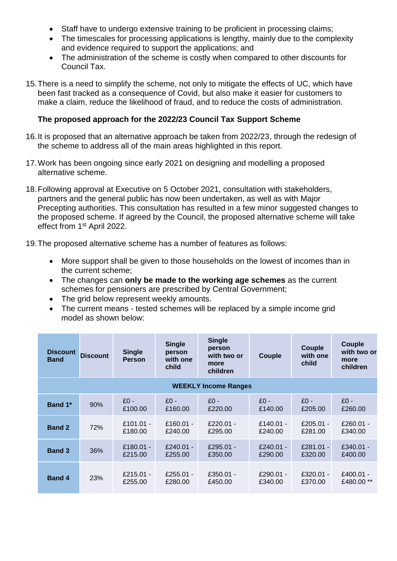- Staff have to undergo extensive training to be proficient in processing claims;
- The timescales for processing applications is lengthy, mainly due to the complexity and evidence required to support the applications; and
- The administration of the scheme is costly when compared to other discounts for Council Tax.
- 15.There is a need to simplify the scheme, not only to mitigate the effects of UC, which have been fast tracked as a consequence of Covid, but also make it easier for customers to make a claim, reduce the likelihood of fraud, and to reduce the costs of administration.

# **The proposed approach for the 2022/23 Council Tax Support Scheme**

- 16.It is proposed that an alternative approach be taken from 2022/23, through the redesign of the scheme to address all of the main areas highlighted in this report.
- 17.Work has been ongoing since early 2021 on designing and modelling a proposed alternative scheme.
- 18.Following approval at Executive on 5 October 2021, consultation with stakeholders, partners and the general public has now been undertaken, as well as with Major Precepting authorities. This consultation has resulted in a few minor suggested changes to the proposed scheme. If agreed by the Council, the proposed alternative scheme will take effect from 1st April 2022.
- 19.The proposed alternative scheme has a number of features as follows:
	- More support shall be given to those households on the lowest of incomes than in the current scheme;
	- The changes can **only be made to the working age schemes** as the current schemes for pensioners are prescribed by Central Government;
	- The grid below represent weekly amounts.
	- The current means tested schemes will be replaced by a simple income grid model as shown below:

| <b>Discount</b><br><b>Band</b> | <b>Discount</b> | <b>Single</b><br><b>Person</b> | <b>Single</b><br>person<br>with one<br>child | <b>Single</b><br>person<br>with two or<br>more<br>children | Couple               | Couple<br>with one<br>child | Couple<br>with two or<br>more<br>children |
|--------------------------------|-----------------|--------------------------------|----------------------------------------------|------------------------------------------------------------|----------------------|-----------------------------|-------------------------------------------|
| <b>WEEKLY Income Ranges</b>    |                 |                                |                                              |                                                            |                      |                             |                                           |
| Band 1*                        | 90%             | $£0 -$<br>£100.00              | $£0 -$<br>£160.00                            | $£0 -$<br>£220.00                                          | $£0 -$<br>£140.00    | $£0 -$<br>£205.00           | $£0 -$<br>£260.00                         |
| <b>Band 2</b>                  | 72%             | £101.01 -<br>£180.00           | £160.01 -<br>£240.00                         | £220.01 -<br>£295.00                                       | £140.01 -<br>£240.00 | £205.01 -<br>£281.00        | £260.01 -<br>£340.00                      |
| <b>Band 3</b>                  | 36%             | £180.01 -<br>£215.00           | £240.01 -<br>£255.00                         | £295.01 -<br>£350.00                                       | £240.01 -<br>£290.00 | £281.01 -<br>£320.00        | £340.01 -<br>£400.00                      |
| <b>Band 4</b>                  | 23%             | £215.01 -<br>£255.00           | £255.01 -<br>£280.00                         | $£350.01 -$<br>£450.00                                     | £290.01 -<br>£340.00 | $£320.01 -$<br>£370.00      | £400.01 -<br>£480.00 **                   |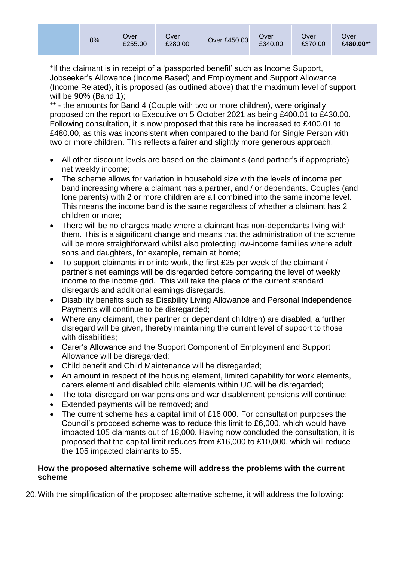\*If the claimant is in receipt of a 'passported benefit' such as Income Support, Jobseeker's Allowance (Income Based) and Employment and Support Allowance (Income Related), it is proposed (as outlined above) that the maximum level of support will be 90% (Band 1);

\*\* - the amounts for Band 4 (Couple with two or more children), were originally proposed on the report to Executive on 5 October 2021 as being £400.01 to £430.00. Following consultation, it is now proposed that this rate be increased to £400.01 to £480.00, as this was inconsistent when compared to the band for Single Person with two or more children. This reflects a fairer and slightly more generous approach.

- All other discount levels are based on the claimant's (and partner's if appropriate) net weekly income;
- The scheme allows for variation in household size with the levels of income per band increasing where a claimant has a partner, and / or dependants. Couples (and lone parents) with 2 or more children are all combined into the same income level. This means the income band is the same regardless of whether a claimant has 2 children or more;
- There will be no charges made where a claimant has non-dependants living with them. This is a significant change and means that the administration of the scheme will be more straightforward whilst also protecting low-income families where adult sons and daughters, for example, remain at home;
- To support claimants in or into work, the first £25 per week of the claimant / partner's net earnings will be disregarded before comparing the level of weekly income to the income grid. This will take the place of the current standard disregards and additional earnings disregards.
- Disability benefits such as Disability Living Allowance and Personal Independence Payments will continue to be disregarded;
- Where any claimant, their partner or dependant child(ren) are disabled, a further disregard will be given, thereby maintaining the current level of support to those with disabilities;
- Carer's Allowance and the Support Component of Employment and Support Allowance will be disregarded;
- Child benefit and Child Maintenance will be disregarded;
- An amount in respect of the housing element, limited capability for work elements, carers element and disabled child elements within UC will be disregarded;
- The total disregard on war pensions and war disablement pensions will continue;
- Extended payments will be removed; and
- The current scheme has a capital limit of £16,000. For consultation purposes the Council's proposed scheme was to reduce this limit to £6,000, which would have impacted 105 claimants out of 18,000. Having now concluded the consultation, it is proposed that the capital limit reduces from £16,000 to £10,000, which will reduce the 105 impacted claimants to 55.

#### **How the proposed alternative scheme will address the problems with the current scheme**

20.With the simplification of the proposed alternative scheme, it will address the following: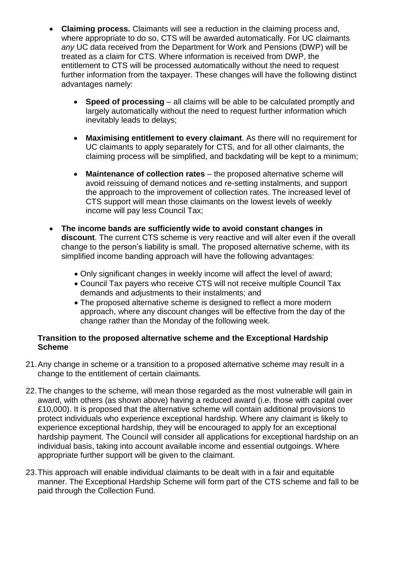- **Claiming process.** Claimants will see a reduction in the claiming process and, where appropriate to do so, CTS will be awarded automatically. For UC claimants *any* UC data received from the Department for Work and Pensions (DWP) will be treated as a claim for CTS. Where information is received from DWP, the entitlement to CTS will be processed automatically without the need to request further information from the taxpayer. These changes will have the following distinct advantages namely:
	- **Speed of processing** all claims will be able to be calculated promptly and largely automatically without the need to request further information which inevitably leads to delays;
	- **Maximising entitlement to every claimant**. As there will no requirement for UC claimants to apply separately for CTS, and for all other claimants, the claiming process will be simplified, and backdating will be kept to a minimum;
	- **Maintenance of collection rates**  the proposed alternative scheme will avoid reissuing of demand notices and re-setting instalments, and support the approach to the improvement of collection rates. The increased level of CTS support will mean those claimants on the lowest levels of weekly income will pay less Council Tax;
- **The income bands are sufficiently wide to avoid constant changes in discount**. The current CTS scheme is very reactive and will alter even if the overall change to the person's liability is small. The proposed alternative scheme, with its simplified income banding approach will have the following advantages:
	- Only significant changes in weekly income will affect the level of award;
	- Council Tax payers who receive CTS will not receive multiple Council Tax demands and adjustments to their instalments; and
	- The proposed alternative scheme is designed to reflect a more modern approach, where any discount changes will be effective from the day of the change rather than the Monday of the following week.

# **Transition to the proposed alternative scheme and the Exceptional Hardship Scheme**

- 21.Any change in scheme or a transition to a proposed alternative scheme may result in a change to the entitlement of certain claimants.
- 22.The changes to the scheme, will mean those regarded as the most vulnerable will gain in award, with others (as shown above) having a reduced award (i.e. those with capital over £10,000). It is proposed that the alternative scheme will contain additional provisions to protect individuals who experience exceptional hardship. Where any claimant is likely to experience exceptional hardship, they will be encouraged to apply for an exceptional hardship payment. The Council will consider all applications for exceptional hardship on an individual basis, taking into account available income and essential outgoings. Where appropriate further support will be given to the claimant.
- 23.This approach will enable individual claimants to be dealt with in a fair and equitable manner. The Exceptional Hardship Scheme will form part of the CTS scheme and fall to be paid through the Collection Fund.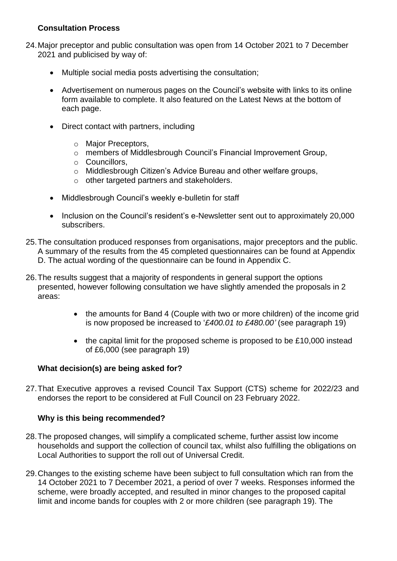# **Consultation Process**

- 24.Major preceptor and public consultation was open from 14 October 2021 to 7 December 2021 and publicised by way of:
	- Multiple social media posts advertising the consultation;
	- Advertisement on numerous pages on the Council's website with links to its online form available to complete. It also featured on the Latest News at the bottom of each page.
	- Direct contact with partners, including
		- o Major Preceptors,
		- o members of Middlesbrough Council's Financial Improvement Group,
		- o Councillors,
		- o Middlesbrough Citizen's Advice Bureau and other welfare groups,
		- o other targeted partners and stakeholders.
	- Middlesbrough Council's weekly e-bulletin for staff
	- Inclusion on the Council's resident's e-Newsletter sent out to approximately 20,000 subscribers.
- 25.The consultation produced responses from organisations, major preceptors and the public. A summary of the results from the 45 completed questionnaires can be found at Appendix D. The actual wording of the questionnaire can be found in Appendix C.
- 26.The results suggest that a majority of respondents in general support the options presented, however following consultation we have slightly amended the proposals in 2 areas:
	- the amounts for Band 4 (Couple with two or more children) of the income grid is now proposed be increased to '*£400.01 to £480.00'* (see paragraph 19)
	- the capital limit for the proposed scheme is proposed to be £10,000 instead of £6,000 (see paragraph 19)

# **What decision(s) are being asked for?**

27.That Executive approves a revised Council Tax Support (CTS) scheme for 2022/23 and endorses the report to be considered at Full Council on 23 February 2022.

#### **Why is this being recommended?**

- 28.The proposed changes, will simplify a complicated scheme, further assist low income households and support the collection of council tax, whilst also fulfilling the obligations on Local Authorities to support the roll out of Universal Credit.
- 29.Changes to the existing scheme have been subject to full consultation which ran from the 14 October 2021 to 7 December 2021, a period of over 7 weeks. Responses informed the scheme, were broadly accepted, and resulted in minor changes to the proposed capital limit and income bands for couples with 2 or more children (see paragraph 19). The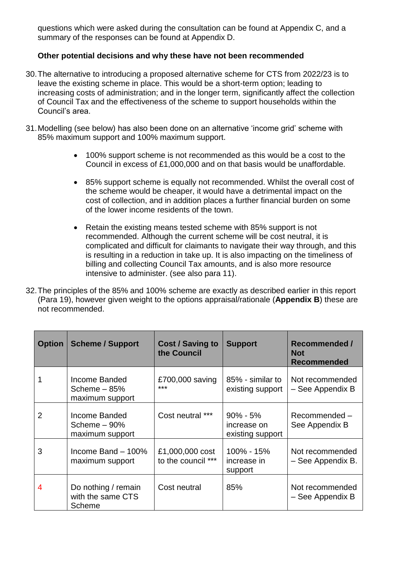questions which were asked during the consultation can be found at Appendix C, and a summary of the responses can be found at Appendix D.

# **Other potential decisions and why these have not been recommended**

- 30.The alternative to introducing a proposed alternative scheme for CTS from 2022/23 is to leave the existing scheme in place. This would be a short-term option; leading to increasing costs of administration; and in the longer term, significantly affect the collection of Council Tax and the effectiveness of the scheme to support households within the Council's area.
- 31.Modelling (see below) has also been done on an alternative 'income grid' scheme with 85% maximum support and 100% maximum support.
	- 100% support scheme is not recommended as this would be a cost to the Council in excess of £1,000,000 and on that basis would be unaffordable.
	- 85% support scheme is equally not recommended. Whilst the overall cost of the scheme would be cheaper, it would have a detrimental impact on the cost of collection, and in addition places a further financial burden on some of the lower income residents of the town.
	- Retain the existing means tested scheme with 85% support is not recommended. Although the current scheme will be cost neutral, it is complicated and difficult for claimants to navigate their way through, and this is resulting in a reduction in take up. It is also impacting on the timeliness of billing and collecting Council Tax amounts, and is also more resource intensive to administer. (see also para 11).
- 32.The principles of the 85% and 100% scheme are exactly as described earlier in this report (Para 19), however given weight to the options appraisal/rationale (**Appendix B**) these are not recommended.

| <b>Option</b> | <b>Scheme / Support</b>                                   | <b>Cost / Saving to</b><br>the Council | <b>Support</b>                                  | <b>Recommended /</b><br><b>Not</b><br><b>Recommended</b> |
|---------------|-----------------------------------------------------------|----------------------------------------|-------------------------------------------------|----------------------------------------------------------|
|               | Income Banded<br>Scheme $-85%$<br>maximum support         | £700,000 saving<br>$***$               | 85% - similar to<br>existing support            | Not recommended<br>- See Appendix B                      |
| 2             | Income Banded<br>Scheme $-90\%$<br>maximum support        | Cost neutral ***                       | $90\% - 5\%$<br>increase on<br>existing support | Recommended-<br>See Appendix B                           |
| 3             | Income Band $-100\%$<br>maximum support                   | £1,000,000 cost<br>to the council ***  | 100% - 15%<br>increase in<br>support            | Not recommended<br>- See Appendix B.                     |
| 4             | Do nothing / remain<br>with the same CTS<br><b>Scheme</b> | Cost neutral                           | 85%                                             | Not recommended<br>- See Appendix B                      |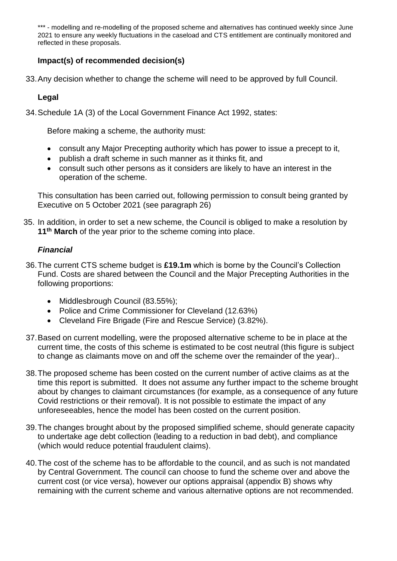\*\*\* - modelling and re-modelling of the proposed scheme and alternatives has continued weekly since June 2021 to ensure any weekly fluctuations in the caseload and CTS entitlement are continually monitored and reflected in these proposals.

# **Impact(s) of recommended decision(s)**

33.Any decision whether to change the scheme will need to be approved by full Council.

# **Legal**

34.Schedule 1A (3) of the Local Government Finance Act 1992, states:

Before making a scheme, the authority must:

- consult any Major Precepting authority which has power to issue a precept to it,
- publish a draft scheme in such manner as it thinks fit, and
- consult such other persons as it considers are likely to have an interest in the operation of the scheme.

This consultation has been carried out, following permission to consult being granted by Executive on 5 October 2021 (see paragraph 26)

35. In addition, in order to set a new scheme, the Council is obliged to make a resolution by **11th March** of the year prior to the scheme coming into place.

# *Financial*

- 36.The current CTS scheme budget is **£19.1m** which is borne by the Council's Collection Fund. Costs are shared between the Council and the Major Precepting Authorities in the following proportions:
	- Middlesbrough Council (83.55%);
	- Police and Crime Commissioner for Cleveland (12.63%)
	- Cleveland Fire Brigade (Fire and Rescue Service) (3.82%).
- 37.Based on current modelling, were the proposed alternative scheme to be in place at the current time, the costs of this scheme is estimated to be cost neutral (this figure is subject to change as claimants move on and off the scheme over the remainder of the year)..
- 38.The proposed scheme has been costed on the current number of active claims as at the time this report is submitted. It does not assume any further impact to the scheme brought about by changes to claimant circumstances (for example, as a consequence of any future Covid restrictions or their removal). It is not possible to estimate the impact of any unforeseeables, hence the model has been costed on the current position.
- 39.The changes brought about by the proposed simplified scheme, should generate capacity to undertake age debt collection (leading to a reduction in bad debt), and compliance (which would reduce potential fraudulent claims).
- 40.The cost of the scheme has to be affordable to the council, and as such is not mandated by Central Government. The council can choose to fund the scheme over and above the current cost (or vice versa), however our options appraisal (appendix B) shows why remaining with the current scheme and various alternative options are not recommended.